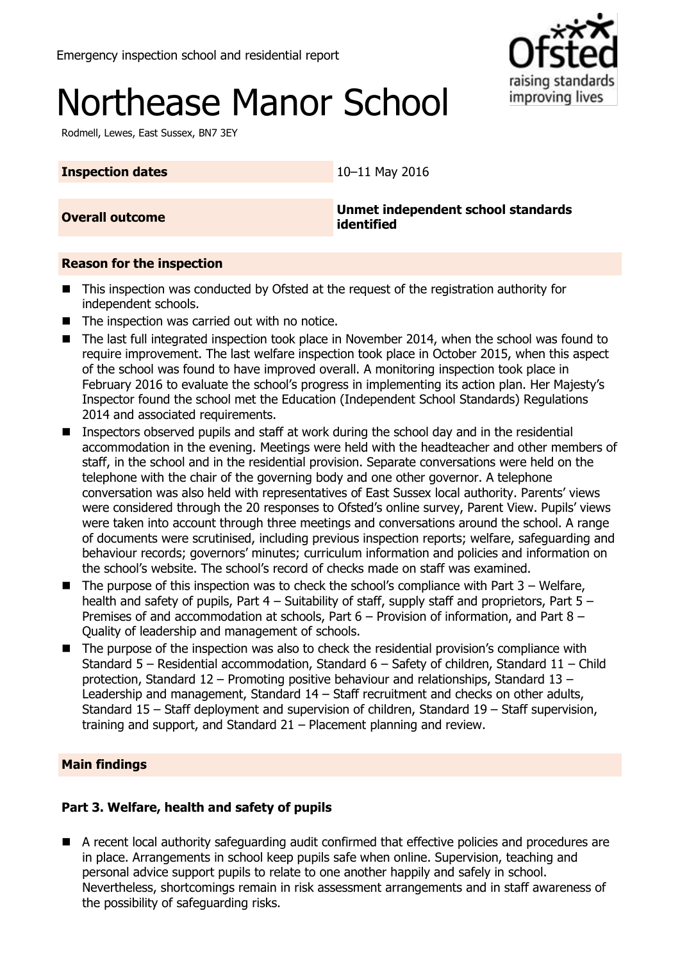# Northease Manor School

Rodmell, Lewes, East Sussex, BN7 3EY

raising standards improving lives

## **Inspection dates** 10–11 May 2016

**Overall outcome Unmet independent school standards identified**

## **Reason for the inspection**

- This inspection was conducted by Ofsted at the request of the registration authority for independent schools.
- The inspection was carried out with no notice.
- The last full integrated inspection took place in November 2014, when the school was found to require improvement. The last welfare inspection took place in October 2015, when this aspect of the school was found to have improved overall. A monitoring inspection took place in February 2016 to evaluate the school's progress in implementing its action plan. Her Majesty's Inspector found the school met the Education (Independent School Standards) Regulations 2014 and associated requirements.
- Inspectors observed pupils and staff at work during the school day and in the residential accommodation in the evening. Meetings were held with the headteacher and other members of staff, in the school and in the residential provision. Separate conversations were held on the telephone with the chair of the governing body and one other governor. A telephone conversation was also held with representatives of East Sussex local authority. Parents' views were considered through the 20 responses to Ofsted's online survey, Parent View. Pupils' views were taken into account through three meetings and conversations around the school. A range of documents were scrutinised, including previous inspection reports; welfare, safeguarding and behaviour records; governors' minutes; curriculum information and policies and information on the school's website. The school's record of checks made on staff was examined.
- The purpose of this inspection was to check the school's compliance with Part 3 Welfare, health and safety of pupils, Part 4 – Suitability of staff, supply staff and proprietors, Part 5 – Premises of and accommodation at schools, Part 6 – Provision of information, and Part 8 – Quality of leadership and management of schools.
- The purpose of the inspection was also to check the residential provision's compliance with Standard 5 – Residential accommodation, Standard 6 – Safety of children, Standard 11 – Child protection, Standard 12 – Promoting positive behaviour and relationships, Standard 13 – Leadership and management, Standard 14 – Staff recruitment and checks on other adults, Standard 15 – Staff deployment and supervision of children, Standard 19 – Staff supervision, training and support, and Standard 21 – Placement planning and review.

# **Main findings**

# **Part 3. Welfare, health and safety of pupils**

 A recent local authority safeguarding audit confirmed that effective policies and procedures are in place. Arrangements in school keep pupils safe when online. Supervision, teaching and personal advice support pupils to relate to one another happily and safely in school. Nevertheless, shortcomings remain in risk assessment arrangements and in staff awareness of the possibility of safeguarding risks.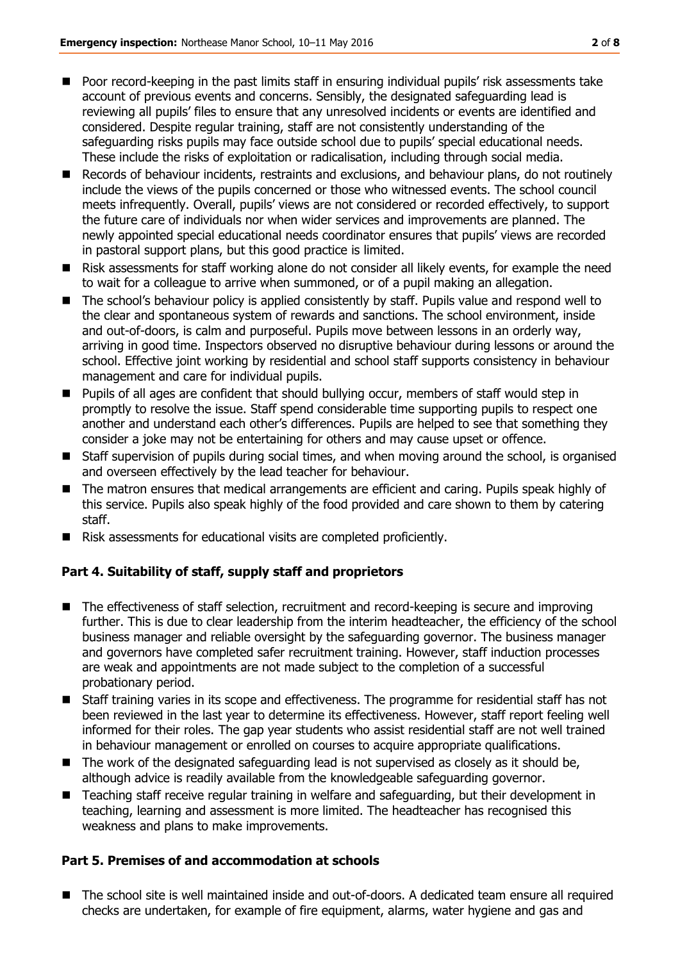- Poor record-keeping in the past limits staff in ensuring individual pupils' risk assessments take account of previous events and concerns. Sensibly, the designated safeguarding lead is reviewing all pupils' files to ensure that any unresolved incidents or events are identified and considered. Despite regular training, staff are not consistently understanding of the safeguarding risks pupils may face outside school due to pupils' special educational needs. These include the risks of exploitation or radicalisation, including through social media.
- Records of behaviour incidents, restraints and exclusions, and behaviour plans, do not routinely include the views of the pupils concerned or those who witnessed events. The school council meets infrequently. Overall, pupils' views are not considered or recorded effectively, to support the future care of individuals nor when wider services and improvements are planned. The newly appointed special educational needs coordinator ensures that pupils' views are recorded in pastoral support plans, but this good practice is limited.
- Risk assessments for staff working alone do not consider all likely events, for example the need to wait for a colleague to arrive when summoned, or of a pupil making an allegation.
- The school's behaviour policy is applied consistently by staff. Pupils value and respond well to the clear and spontaneous system of rewards and sanctions. The school environment, inside and out-of-doors, is calm and purposeful. Pupils move between lessons in an orderly way, arriving in good time. Inspectors observed no disruptive behaviour during lessons or around the school. Effective joint working by residential and school staff supports consistency in behaviour management and care for individual pupils.
- **Pupils of all ages are confident that should bullying occur, members of staff would step in** promptly to resolve the issue. Staff spend considerable time supporting pupils to respect one another and understand each other's differences. Pupils are helped to see that something they consider a joke may not be entertaining for others and may cause upset or offence.
- Staff supervision of pupils during social times, and when moving around the school, is organised and overseen effectively by the lead teacher for behaviour.
- The matron ensures that medical arrangements are efficient and caring. Pupils speak highly of this service. Pupils also speak highly of the food provided and care shown to them by catering staff.
- Risk assessments for educational visits are completed proficiently.

## **Part 4. Suitability of staff, supply staff and proprietors**

- The effectiveness of staff selection, recruitment and record-keeping is secure and improving further. This is due to clear leadership from the interim headteacher, the efficiency of the school business manager and reliable oversight by the safeguarding governor. The business manager and governors have completed safer recruitment training. However, staff induction processes are weak and appointments are not made subject to the completion of a successful probationary period.
- Staff training varies in its scope and effectiveness. The programme for residential staff has not been reviewed in the last year to determine its effectiveness. However, staff report feeling well informed for their roles. The gap year students who assist residential staff are not well trained in behaviour management or enrolled on courses to acquire appropriate qualifications.
- The work of the designated safeguarding lead is not supervised as closely as it should be, although advice is readily available from the knowledgeable safeguarding governor.
- Teaching staff receive regular training in welfare and safeguarding, but their development in teaching, learning and assessment is more limited. The headteacher has recognised this weakness and plans to make improvements.

## **Part 5. Premises of and accommodation at schools**

■ The school site is well maintained inside and out-of-doors. A dedicated team ensure all required checks are undertaken, for example of fire equipment, alarms, water hygiene and gas and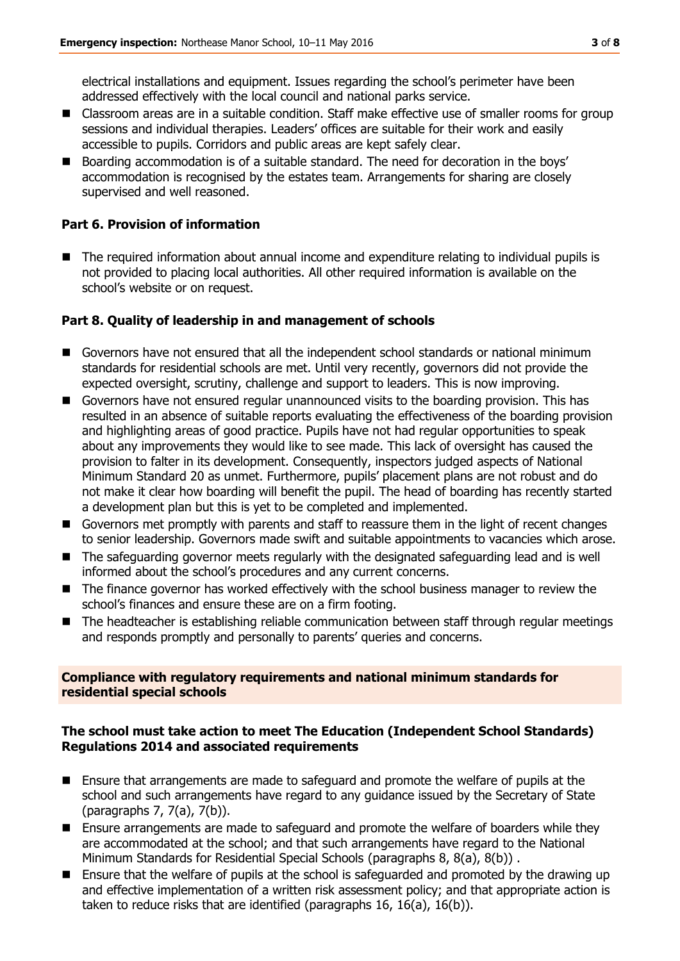electrical installations and equipment. Issues regarding the school's perimeter have been addressed effectively with the local council and national parks service.

- Classroom areas are in a suitable condition. Staff make effective use of smaller rooms for group sessions and individual therapies. Leaders' offices are suitable for their work and easily accessible to pupils. Corridors and public areas are kept safely clear.
- Boarding accommodation is of a suitable standard. The need for decoration in the boys' accommodation is recognised by the estates team. Arrangements for sharing are closely supervised and well reasoned.

#### **Part 6. Provision of information**

 The required information about annual income and expenditure relating to individual pupils is not provided to placing local authorities. All other required information is available on the school's website or on request.

#### **Part 8. Quality of leadership in and management of schools**

- Governors have not ensured that all the independent school standards or national minimum standards for residential schools are met. Until very recently, governors did not provide the expected oversight, scrutiny, challenge and support to leaders. This is now improving.
- Governors have not ensured regular unannounced visits to the boarding provision. This has resulted in an absence of suitable reports evaluating the effectiveness of the boarding provision and highlighting areas of good practice. Pupils have not had regular opportunities to speak about any improvements they would like to see made. This lack of oversight has caused the provision to falter in its development. Consequently, inspectors judged aspects of National Minimum Standard 20 as unmet. Furthermore, pupils' placement plans are not robust and do not make it clear how boarding will benefit the pupil. The head of boarding has recently started a development plan but this is yet to be completed and implemented.
- Governors met promptly with parents and staff to reassure them in the light of recent changes to senior leadership. Governors made swift and suitable appointments to vacancies which arose.
- The safeguarding governor meets regularly with the designated safeguarding lead and is well informed about the school's procedures and any current concerns.
- The finance governor has worked effectively with the school business manager to review the school's finances and ensure these are on a firm footing.
- The headteacher is establishing reliable communication between staff through regular meetings and responds promptly and personally to parents' queries and concerns.

#### **Compliance with regulatory requirements and national minimum standards for residential special schools**

#### **The school must take action to meet The Education (Independent School Standards) Regulations 2014 and associated requirements**

- Ensure that arrangements are made to safeguard and promote the welfare of pupils at the school and such arrangements have regard to any guidance issued by the Secretary of State (paragraphs 7, 7(a), 7(b)).
- **Ensure arrangements are made to safeguard and promote the welfare of boarders while they** are accommodated at the school; and that such arrangements have regard to the National Minimum Standards for Residential Special Schools (paragraphs 8, 8(a), 8(b)) .
- Ensure that the welfare of pupils at the school is safeguarded and promoted by the drawing up and effective implementation of a written risk assessment policy; and that appropriate action is taken to reduce risks that are identified (paragraphs 16, 16(a), 16(b)).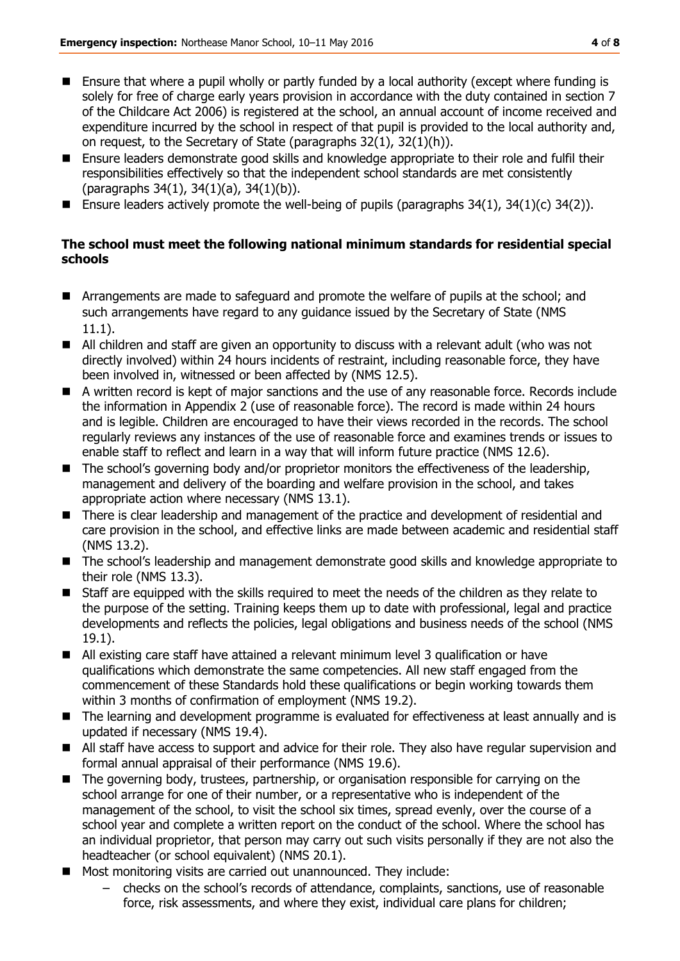- Ensure that where a pupil wholly or partly funded by a local authority (except where funding is solely for free of charge early years provision in accordance with the duty contained in section 7 of the Childcare Act 2006) is registered at the school, an annual account of income received and expenditure incurred by the school in respect of that pupil is provided to the local authority and, on request, to the Secretary of State (paragraphs 32(1), 32(1)(h)).
- Ensure leaders demonstrate good skills and knowledge appropriate to their role and fulfil their responsibilities effectively so that the independent school standards are met consistently (paragraphs 34(1), 34(1)(a), 34(1)(b)).
- **Ensure leaders actively promote the well-being of pupils (paragraphs 34(1), 34(1)(c) 34(2)).**

## **The school must meet the following national minimum standards for residential special schools**

- Arrangements are made to safeguard and promote the welfare of pupils at the school; and such arrangements have regard to any guidance issued by the Secretary of State (NMS 11.1).
- All children and staff are given an opportunity to discuss with a relevant adult (who was not directly involved) within 24 hours incidents of restraint, including reasonable force, they have been involved in, witnessed or been affected by (NMS 12.5).
- A written record is kept of major sanctions and the use of any reasonable force. Records include the information in Appendix 2 (use of reasonable force). The record is made within 24 hours and is legible. Children are encouraged to have their views recorded in the records. The school regularly reviews any instances of the use of reasonable force and examines trends or issues to enable staff to reflect and learn in a way that will inform future practice (NMS 12.6).
- The school's governing body and/or proprietor monitors the effectiveness of the leadership, management and delivery of the boarding and welfare provision in the school, and takes appropriate action where necessary (NMS 13.1).
- There is clear leadership and management of the practice and development of residential and care provision in the school, and effective links are made between academic and residential staff (NMS 13.2).
- The school's leadership and management demonstrate good skills and knowledge appropriate to their role (NMS 13.3).
- Staff are equipped with the skills required to meet the needs of the children as they relate to the purpose of the setting. Training keeps them up to date with professional, legal and practice developments and reflects the policies, legal obligations and business needs of the school (NMS 19.1).
- All existing care staff have attained a relevant minimum level 3 qualification or have qualifications which demonstrate the same competencies. All new staff engaged from the commencement of these Standards hold these qualifications or begin working towards them within 3 months of confirmation of employment (NMS 19.2).
- The learning and development programme is evaluated for effectiveness at least annually and is updated if necessary (NMS 19.4).
- All staff have access to support and advice for their role. They also have regular supervision and formal annual appraisal of their performance (NMS 19.6).
- The governing body, trustees, partnership, or organisation responsible for carrying on the school arrange for one of their number, or a representative who is independent of the management of the school, to visit the school six times, spread evenly, over the course of a school year and complete a written report on the conduct of the school. Where the school has an individual proprietor, that person may carry out such visits personally if they are not also the headteacher (or school equivalent) (NMS 20.1).
- **Most monitoring visits are carried out unannounced. They include:** 
	- checks on the school's records of attendance, complaints, sanctions, use of reasonable force, risk assessments, and where they exist, individual care plans for children;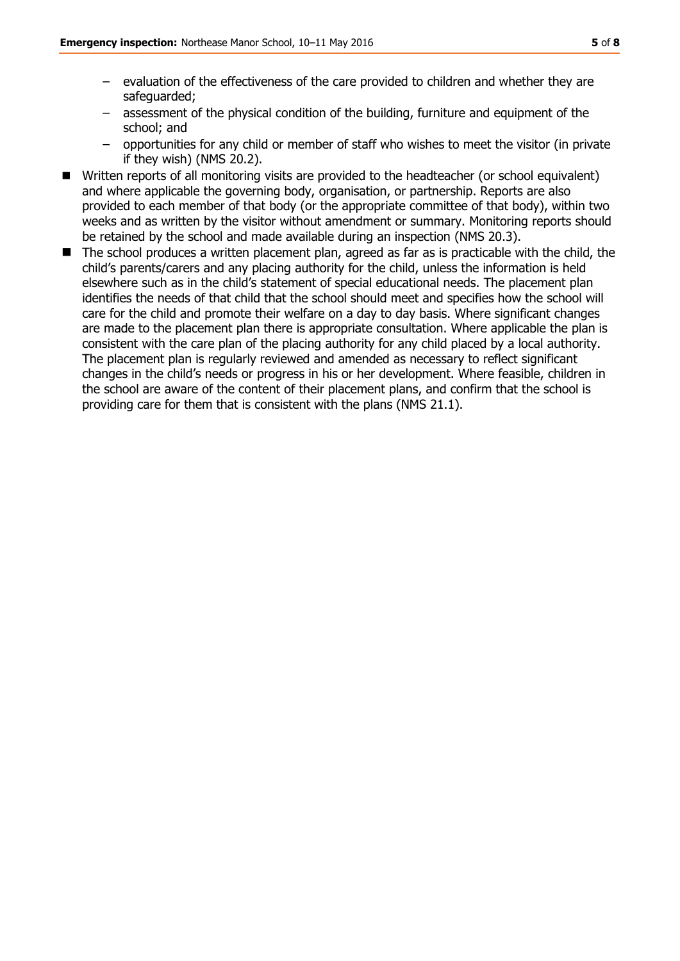- evaluation of the effectiveness of the care provided to children and whether they are safeguarded;
- assessment of the physical condition of the building, furniture and equipment of the school; and
- opportunities for any child or member of staff who wishes to meet the visitor (in private if they wish) (NMS 20.2).
- Written reports of all monitoring visits are provided to the headteacher (or school equivalent) and where applicable the governing body, organisation, or partnership. Reports are also provided to each member of that body (or the appropriate committee of that body), within two weeks and as written by the visitor without amendment or summary. Monitoring reports should be retained by the school and made available during an inspection (NMS 20.3).
- The school produces a written placement plan, agreed as far as is practicable with the child, the child's parents/carers and any placing authority for the child, unless the information is held elsewhere such as in the child's statement of special educational needs. The placement plan identifies the needs of that child that the school should meet and specifies how the school will care for the child and promote their welfare on a day to day basis. Where significant changes are made to the placement plan there is appropriate consultation. Where applicable the plan is consistent with the care plan of the placing authority for any child placed by a local authority. The placement plan is regularly reviewed and amended as necessary to reflect significant changes in the child's needs or progress in his or her development. Where feasible, children in the school are aware of the content of their placement plans, and confirm that the school is providing care for them that is consistent with the plans (NMS 21.1).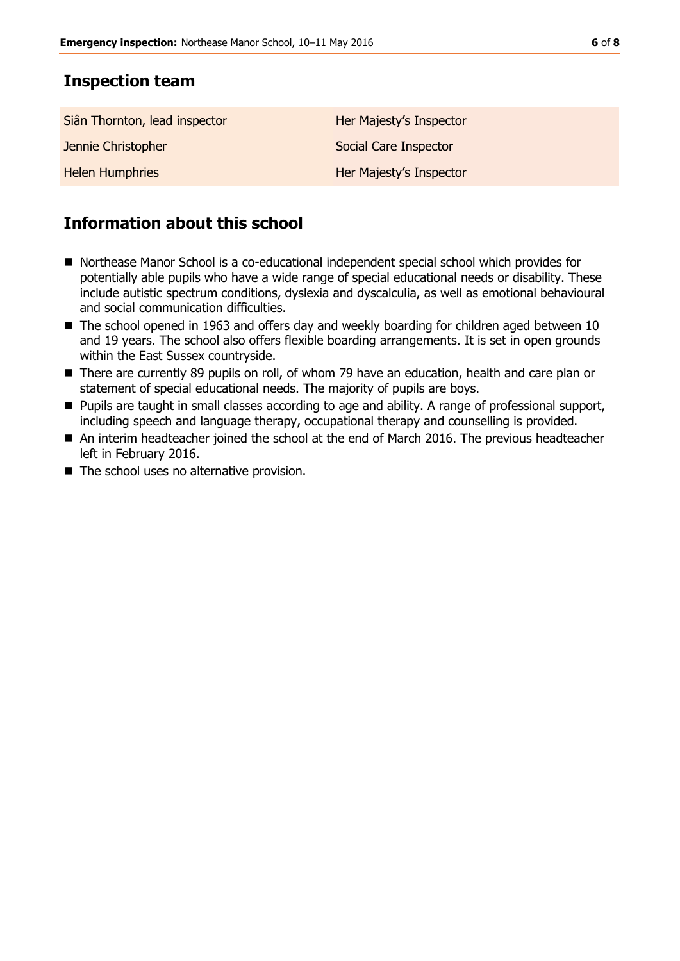## **Inspection team**

| Siân Thornton, lead inspector | Her Majesty's Inspector |
|-------------------------------|-------------------------|
| Jennie Christopher            | Social Care Inspector   |
| <b>Helen Humphries</b>        | Her Majesty's Inspector |

# **Information about this school**

- Northease Manor School is a co-educational independent special school which provides for potentially able pupils who have a wide range of special educational needs or disability. These include autistic spectrum conditions, dyslexia and dyscalculia, as well as emotional behavioural and social communication difficulties.
- The school opened in 1963 and offers day and weekly boarding for children aged between 10 and 19 years. The school also offers flexible boarding arrangements. It is set in open grounds within the East Sussex countryside.
- There are currently 89 pupils on roll, of whom 79 have an education, health and care plan or statement of special educational needs. The majority of pupils are boys.
- **Pupils are taught in small classes according to age and ability. A range of professional support,** including speech and language therapy, occupational therapy and counselling is provided.
- An interim headteacher joined the school at the end of March 2016. The previous headteacher left in February 2016.
- The school uses no alternative provision.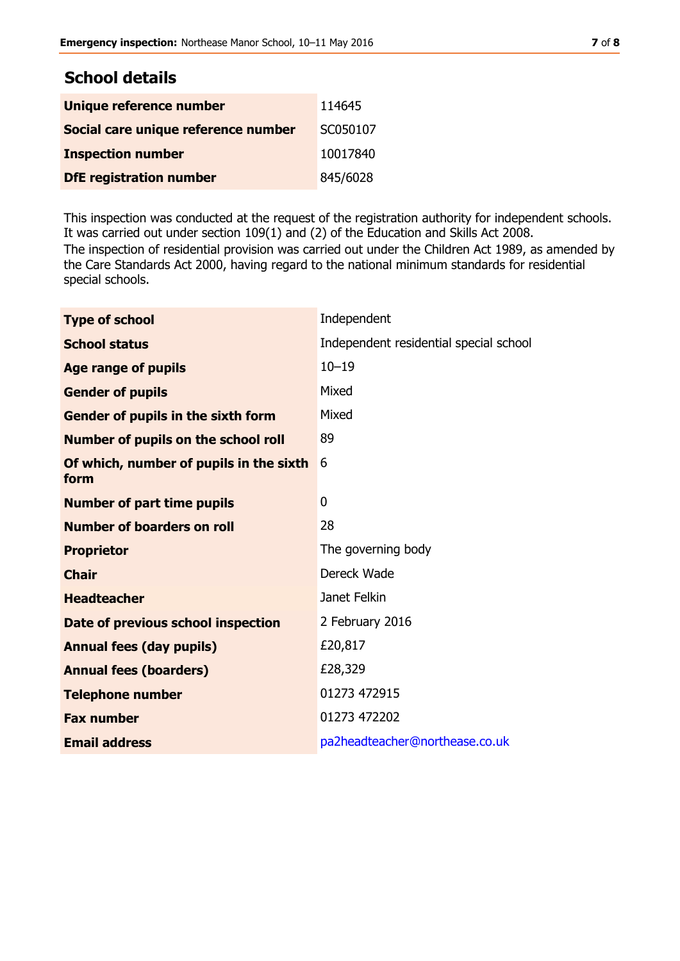| <b>School details</b>               |          |  |
|-------------------------------------|----------|--|
| Unique reference number             | 114645   |  |
| Social care unique reference number | SC050107 |  |
| <b>Inspection number</b>            | 10017840 |  |
| <b>DfE registration number</b>      | 845/6028 |  |

This inspection was conducted at the request of the registration authority for independent schools. It was carried out under section 109(1) and (2) of the Education and Skills Act 2008. The inspection of residential provision was carried out under the Children Act 1989, as amended by the Care Standards Act 2000, having regard to the national minimum standards for residential special schools.

| <b>Type of school</b>                           | Independent                            |
|-------------------------------------------------|----------------------------------------|
| <b>School status</b>                            | Independent residential special school |
| <b>Age range of pupils</b>                      | $10 - 19$                              |
| <b>Gender of pupils</b>                         | Mixed                                  |
| Gender of pupils in the sixth form              | Mixed                                  |
| <b>Number of pupils on the school roll</b>      | 89                                     |
| Of which, number of pupils in the sixth<br>form | 6                                      |
| <b>Number of part time pupils</b>               | 0                                      |
| <b>Number of boarders on roll</b>               | 28                                     |
| <b>Proprietor</b>                               | The governing body                     |
| <b>Chair</b>                                    | Dereck Wade                            |
| <b>Headteacher</b>                              | Janet Felkin                           |
| Date of previous school inspection              | 2 February 2016                        |
| <b>Annual fees (day pupils)</b>                 | £20,817                                |
| <b>Annual fees (boarders)</b>                   | £28,329                                |
| <b>Telephone number</b>                         | 01273 472915                           |
| <b>Fax number</b>                               | 01273 472202                           |
| <b>Email address</b>                            | pa2headteacher@northease.co.uk         |